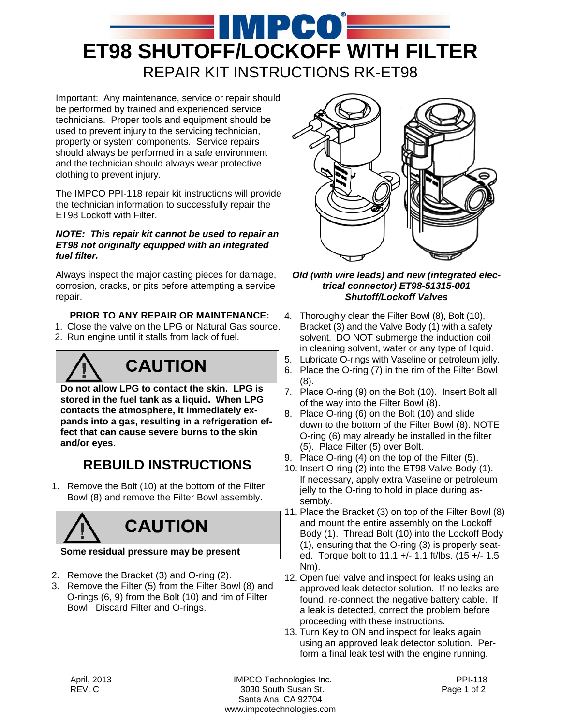

Important: Any maintenance, service or repair should be performed by trained and experienced service technicians. Proper tools and equipment should be used to prevent injury to the servicing technician, property or system components. Service repairs should always be performed in a safe environment and the technician should always wear protective clothing to prevent injury.

The IMPCO PPI-118 repair kit instructions will provide the technician information to successfully repair the ET98 Lockoff with Filter.

#### *NOTE: This repair kit cannot be used to repair an ET98 not originally equipped with an integrated fuel filter.*

Always inspect the major casting pieces for damage, corrosion, cracks, or pits before attempting a service repair.

#### **PRIOR TO ANY REPAIR OR MAINTENANCE:**

- 1. Close the valve on the LPG or Natural Gas source.
- 2. Run engine until it stalls from lack of fuel.

## **CAUTION**

**Do not allow LPG to contact the skin. LPG is stored in the fuel tank as a liquid. When LPG contacts the atmosphere, it immediately expands into a gas, resulting in a refrigeration effect that can cause severe burns to the skin and/or eyes.**

### **REBUILD INSTRUCTIONS**

1. Remove the Bolt (10) at the bottom of the Filter Bowl (8) and remove the Filter Bowl assembly.

# **CAUTION**

#### **Some residual pressure may be present**

- 2. Remove the Bracket (3) and O-ring (2).
- 3. Remove the Filter (5) from the Filter Bowl (8) and O-rings (6, 9) from the Bolt (10) and rim of Filter Bowl. Discard Filter and O-rings.



#### *Old (with wire leads) and new (integrated electrical connector) ET98-51315-001 Shutoff/Lockoff Valves*

- 4. Thoroughly clean the Filter Bowl (8), Bolt (10), Bracket (3) and the Valve Body (1) with a safety solvent. DO NOT submerge the induction coil in cleaning solvent, water or any type of liquid. 5. Lubricate O-rings with Vaseline or petroleum jelly.
- 6. Place the O-ring (7) in the rim of the Filter Bowl (8).
- 7. Place O-ring (9) on the Bolt (10). Insert Bolt all of the way into the Filter Bowl (8).
- 8. Place O-ring (6) on the Bolt (10) and slide down to the bottom of the Filter Bowl (8). NOTE O-ring (6) may already be installed in the filter (5). Place Filter (5) over Bolt.
- 9. Place O-ring (4) on the top of the Filter (5).
- 10. Insert O-ring (2) into the ET98 Valve Body (1). If necessary, apply extra Vaseline or petroleum jelly to the O-ring to hold in place during assembly.
- 11. Place the Bracket (3) on top of the Filter Bowl (8) and mount the entire assembly on the Lockoff Body (1). Thread Bolt (10) into the Lockoff Body (1), ensuring that the O-ring (3) is properly seated. Torque bolt to 11.1 +/- 1.1 ft/lbs. (15 +/- 1.5 Nm).
- 12. Open fuel valve and inspect for leaks using an approved leak detector solution. If no leaks are found, re-connect the negative battery cable. If a leak is detected, correct the problem before proceeding with these instructions.
- 13. Turn Key to ON and inspect for leaks again using an approved leak detector solution. Perform a final leak test with the engine running.